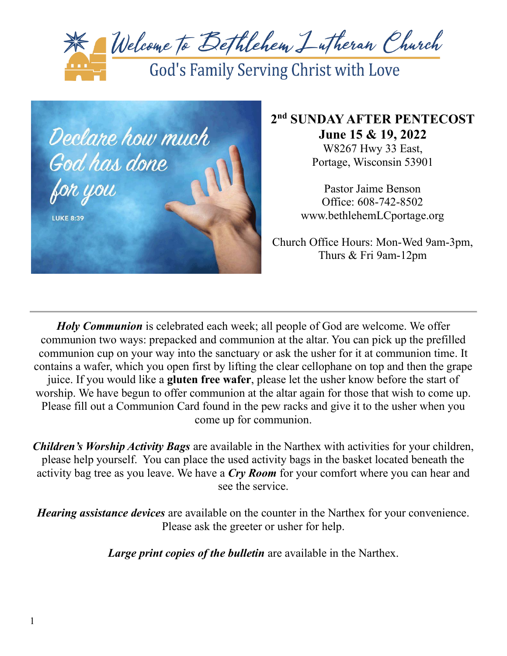



# **2 nd SUNDAY AFTER PENTECOST June 15 & 19, 2022**

W8267 Hwy 33 East, Portage, Wisconsin 53901

Pastor Jaime Benson Office: 608-742-8502 www.bethlehemLCportage.org

Church Office Hours: Mon-Wed 9am-3pm, Thurs & Fri 9am-12pm

*Holy Communion* is celebrated each week; all people of God are welcome. We offer communion two ways: prepacked and communion at the altar. You can pick up the prefilled communion cup on your way into the sanctuary or ask the usher for it at communion time. It contains a wafer, which you open first by lifting the clear cellophane on top and then the grape juice. If you would like a **gluten free wafer**, please let the usher know before the start of worship. We have begun to offer communion at the altar again for those that wish to come up. Please fill out a Communion Card found in the pew racks and give it to the usher when you come up for communion.

*Children's Worship Activity Bags* are available in the Narthex with activities for your children, please help yourself. You can place the used activity bags in the basket located beneath the activity bag tree as you leave. We have a *Cry Room* for your comfort where you can hear and see the service.

*Hearing assistance devices* are available on the counter in the Narthex for your convenience. Please ask the greeter or usher for help.

*Large print copies of the bulletin* are available in the Narthex.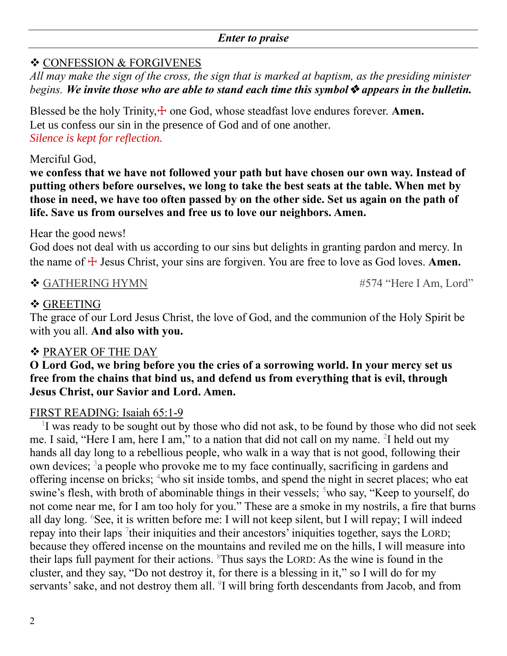#### *Enter to praise*

# ❖ CONFESSION & FORGIVENES

*All may make the sign of the cross, the sign that is marked at baptism, as the presiding minister begins. We invite those who are able to stand each time this symbol*❖ *appears in the bulletin.*

Blessed be the holy Trinity, $\pm$  one God, whose steadfast love endures forever. **Amen.** Let us confess our sin in the presence of God and of one another. *Silence is kept for reflection.*

# Merciful God,

**we confess that we have not followed your path but have chosen our own way. Instead of putting others before ourselves, we long to take the best seats at the table. When met by those in need, we have too often passed by on the other side. Set us again on the path of life. Save us from ourselves and free us to love our neighbors. Amen.**

## Hear the good news!

God does not deal with us according to our sins but delights in granting pardon and mercy. In the name of  $\pm$  Jesus Christ, your sins are forgiven. You are free to love as God loves. **Amen.** 

## ◆ GATHERING HYMN #574 "Here I Am, Lord"

# ❖ GREETING

The grace of our Lord Jesus Christ, the love of God, and the communion of the Holy Spirit be with you all. **And also with you.**

# ❖ PRAYER OF THE DAY

**O Lord God, we bring before you the cries of a sorrowing world. In your mercy set us free from the chains that bind us, and defend us from everything that is evil, through Jesus Christ, our Savior and Lord. Amen.**

# FIRST READING: Isaiah 65:1-9

<sup>1</sup>I was ready to be sought out by those who did not ask, to be found by those who did not seek me. I said, "Here I am, here I am," to a nation that did not call on my name. <sup>2</sup>I held out my hands all day long to a rebellious people, who walk in a way that is not good, following their own devices; <sup>3</sup> a people who provoke me to my face continually, sacrificing in gardens and offering incense on bricks; <sup>4</sup>who sit inside tombs, and spend the night in secret places; who eat swine's flesh, with broth of abominable things in their vessels; <sup>5</sup>who say, "Keep to yourself, do not come near me, for I am too holy for you." These are a smoke in my nostrils, a fire that burns all day long. <sup>6</sup>See, it is written before me: I will not keep silent, but I will repay; I will indeed repay into their laps  $\frac{7}{1}$ their iniquities and their ancestors' iniquities together, says the LORD; because they offered incense on the mountains and reviled me on the hills, I will measure into their laps full payment for their actions. <sup>8</sup>Thus says the LORD: As the wine is found in the cluster, and they say, "Do not destroy it, for there is a blessing in it," so I will do for my servants' sake, and not destroy them all. <sup>9</sup>I will bring forth descendants from Jacob, and from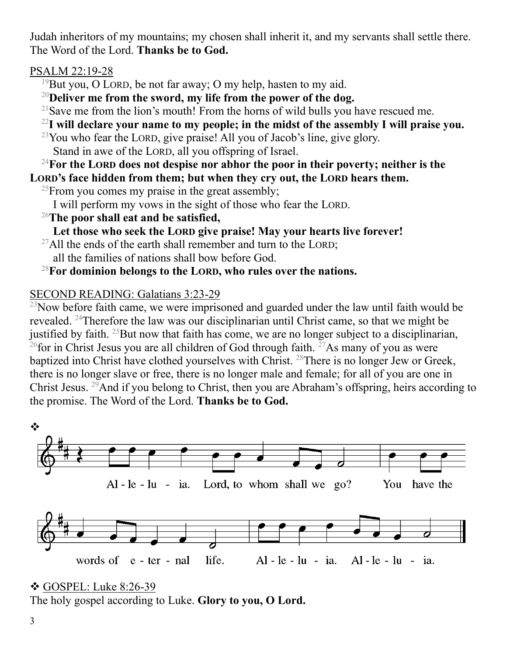Judah inheritors of my mountains; my chosen shall inherit it, and my servants shall settle there. The Word of the Lord. **Thanks be to God.**

PSALM 22:19-28

<sup>19</sup>But you, O LORD, be not far away; O my help, hasten to my aid.

<sup>20</sup>**Deliver me from the sword, my life from the power of the dog.**

<sup>21</sup>Save me from the lion's mouth! From the horns of wild bulls you have rescued me.

<sup>22</sup>**I will declare your name to my people; in the midst of the assembly I will praise you.**

 $23$ You who fear the LORD, give praise! All you of Jacob's line, give glory. Stand in awe of the LORD, all you offspring of Israel.

<sup>24</sup>**For the LORD does not despise nor abhor the poor in their poverty; neither is the LORD's face hidden from them; but when they cry out, the LORD hears them.**

<sup>25</sup>From you comes my praise in the great assembly;

I will perform my vows in the sight of those who fear the LORD.

<sup>26</sup>**The poor shall eat and be satisfied,**

**Let those who seek the LORD give praise! May your hearts live forever!**

 $^{27}$ All the ends of the earth shall remember and turn to the LORD; all the families of nations shall bow before God.

# <sup>28</sup>**For dominion belongs to the LORD, who rules over the nations.**

# SECOND READING: Galatians 3:23-29

 $^{23}$ Now before faith came, we were imprisoned and guarded under the law until faith would be revealed. <sup>24</sup>Therefore the law was our disciplinarian until Christ came, so that we might be justified by faith. <sup>25</sup>But now that faith has come, we are no longer subject to a disciplinarian,  $^{26}$ for in Christ Jesus you are all children of God through faith.  $^{27}$ As many of you as were baptized into Christ have clothed yourselves with Christ. <sup>28</sup>There is no longer Jew or Greek, there is no longer slave or free, there is no longer male and female; for all of you are one in Christ Jesus. <sup>29</sup>And if you belong to Christ, then you are Abraham's offspring, heirs according to the promise. The Word of the Lord. **Thanks be to God.**



<sup>❖</sup> GOSPEL: Luke 8:26-39 The holy gospel according to Luke. **Glory to you, O Lord.**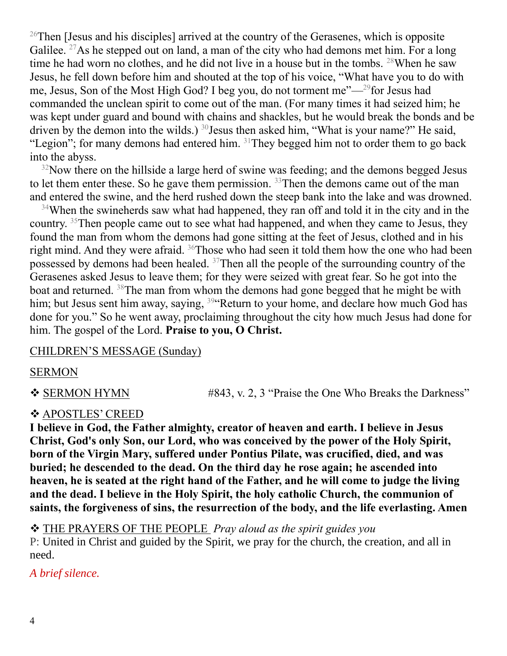<sup>26</sup>Then [Jesus and his disciples] arrived at the country of the Gerasenes, which is opposite Galilee. <sup>27</sup>As he stepped out on land, a man of the city who had demons met him. For a long time he had worn no clothes, and he did not live in a house but in the tombs. <sup>28</sup>When he saw Jesus, he fell down before him and shouted at the top of his voice, "What have you to do with me, Jesus, Son of the Most High God? I beg you, do not torment me"—<sup>29</sup>for Jesus had commanded the unclean spirit to come out of the man. (For many times it had seized him; he was kept under guard and bound with chains and shackles, but he would break the bonds and be driven by the demon into the wilds.)  $30$  Jesus then asked him, "What is your name?" He said, "Legion"; for many demons had entered him. <sup>31</sup>They begged him not to order them to go back into the abyss.

 $32$ Now there on the hillside a large herd of swine was feeding; and the demons begged Jesus to let them enter these. So he gave them permission.  $33$  Then the demons came out of the man and entered the swine, and the herd rushed down the steep bank into the lake and was drowned.

<sup>34</sup>When the swineherds saw what had happened, they ran off and told it in the city and in the country. <sup>35</sup>Then people came out to see what had happened, and when they came to Jesus, they found the man from whom the demons had gone sitting at the feet of Jesus, clothed and in his right mind. And they were afraid. <sup>36</sup>Those who had seen it told them how the one who had been possessed by demons had been healed. <sup>37</sup>Then all the people of the surrounding country of the Gerasenes asked Jesus to leave them; for they were seized with great fear. So he got into the boat and returned. <sup>38</sup>The man from whom the demons had gone begged that he might be with him; but Jesus sent him away, saying, <sup>39</sup> Return to your home, and declare how much God has done for you." So he went away, proclaiming throughout the city how much Jesus had done for him. The gospel of the Lord. **Praise to you, O Christ.**

#### CHILDREN'S MESSAGE (Sunday)

#### SERMON

❖ SERMON HYMN #843, v. 2, 3 "Praise the One Who Breaks the Darkness"

#### ❖ APOSTLES' CREED

**I believe in God, the Father almighty, creator of heaven and earth. I believe in Jesus Christ, God's only Son, our Lord, who was conceived by the power of the Holy Spirit, born of the Virgin Mary, suffered under Pontius Pilate, was crucified, died, and was buried; he descended to the dead. On the third day he rose again; he ascended into heaven, he is seated at the right hand of the Father, and he will come to judge the living and the dead. I believe in the Holy Spirit, the holy catholic Church, the communion of saints, the forgiveness of sins, the resurrection of the body, and the life everlasting. Amen**

❖ THE PRAYERS OF THE PEOPLE *Pray aloud as the spirit guides you* P: United in Christ and guided by the Spirit, we pray for the church, the creation, and all in need.

#### *A brief silence.*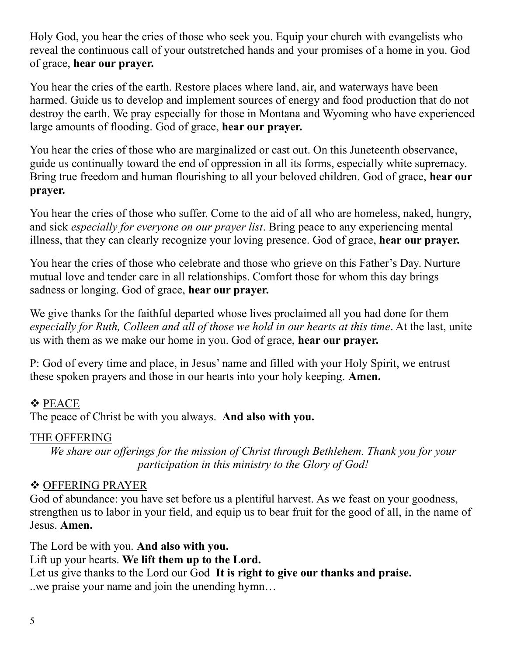Holy God, you hear the cries of those who seek you. Equip your church with evangelists who reveal the continuous call of your outstretched hands and your promises of a home in you. God of grace, **hear our prayer.**

You hear the cries of the earth. Restore places where land, air, and waterways have been harmed. Guide us to develop and implement sources of energy and food production that do not destroy the earth. We pray especially for those in Montana and Wyoming who have experienced large amounts of flooding. God of grace, **hear our prayer.**

You hear the cries of those who are marginalized or cast out. On this Juneteenth observance, guide us continually toward the end of oppression in all its forms, especially white supremacy. Bring true freedom and human flourishing to all your beloved children. God of grace, **hear our prayer.**

You hear the cries of those who suffer. Come to the aid of all who are homeless, naked, hungry, and sick *especially for everyone on our prayer list*. Bring peace to any experiencing mental illness, that they can clearly recognize your loving presence. God of grace, **hear our prayer.**

You hear the cries of those who celebrate and those who grieve on this Father's Day. Nurture mutual love and tender care in all relationships. Comfort those for whom this day brings sadness or longing. God of grace, **hear our prayer.**

We give thanks for the faithful departed whose lives proclaimed all you had done for them *especially for Ruth, Colleen and all of those we hold in our hearts at this time*. At the last, unite us with them as we make our home in you. God of grace, **hear our prayer.**

P: God of every time and place, in Jesus' name and filled with your Holy Spirit, we entrust these spoken prayers and those in our hearts into your holy keeping. **Amen.**

# ❖ PEACE The peace of Christ be with you always. **And also with you.**

# THE OFFERING

*We share our offerings for the mission of Christ through Bethlehem. Thank you for your participation in this ministry to the Glory of God!*

# ❖ OFFERING PRAYER

God of abundance: you have set before us a plentiful harvest. As we feast on your goodness, strengthen us to labor in your field, and equip us to bear fruit for the good of all, in the name of Jesus. **Amen.**

The Lord be with you. **And also with you.** Lift up your hearts. **We lift them up to the Lord.** Let us give thanks to the Lord our God **It is right to give our thanks and praise.** ..we praise your name and join the unending hymn…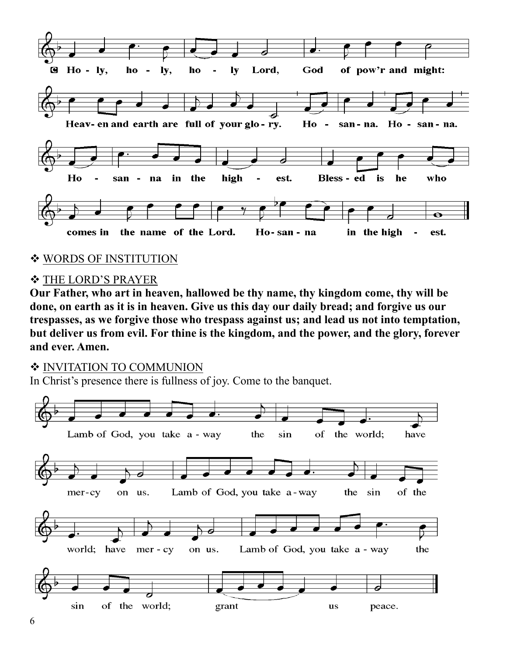

#### ❖ WORDS OF INSTITUTION

#### ❖ THE LORD'S PRAYER

**Our Father, who art in heaven, hallowed be thy name, thy kingdom come, thy will be done, on earth as it is in heaven. Give us this day our daily bread; and forgive us our trespasses, as we forgive those who trespass against us; and lead us not into temptation, but deliver us from evil. For thine is the kingdom, and the power, and the glory, forever and ever. Amen.**

#### ❖ INVITATION TO COMMUNION

In Christ's presence there is fullness of joy. Come to the banquet.

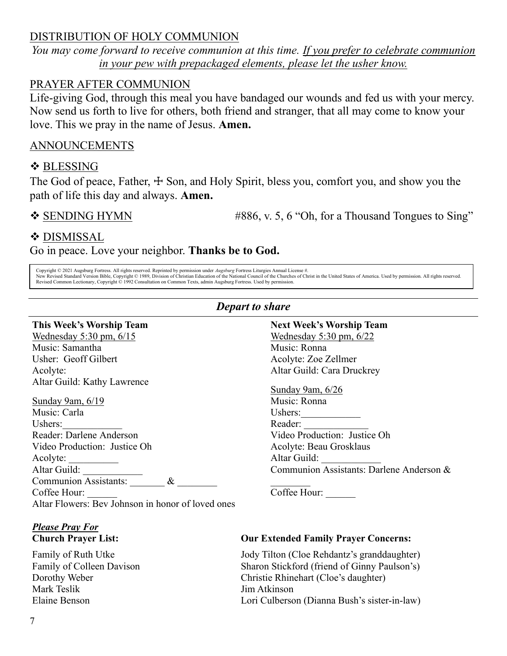# DISTRIBUTION OF HOLY COMMUNION

*You may come forward to receive communion at this time. If you prefer to celebrate communion in your pew with prepackaged elements, please let the usher know.*

#### PRAYER AFTER COMMUNION

Life-giving God, through this meal you have bandaged our wounds and fed us with your mercy. Now send us forth to live for others, both friend and stranger, that all may come to know your love. This we pray in the name of Jesus. **Amen.**

# ANNOUNCEMENTS

## ❖ BLESSING

The God of peace, Father,  $\pm$  Son, and Holy Spirit, bless you, comfort you, and show you the path of life this day and always. **Amen.**

 $\div$  SENDING HYMN #886, v. 5, 6 "Oh, for a Thousand Tongues to Sing"

## ❖ DISMISSAL

Go in peace. Love your neighbor. **Thanks be to God.**

Copyright © 2021 Augsburg Fortress. All rights reserved. Reprinted by permission under Augsburg Fortress Liturgies Annual License #.<br>New Revised Standard Version Bible, Copyright © 1989, Division of Christian Education of Revised Common Lectionary, Copyright © 1992 Consultation on Common Texts, admin Augsburg Fortress. Used by permission.

#### *Depart to share*

#### **This Week's Worship Team**

Wednesday 5:30 pm, 6/15 Music: Samantha Usher: Geoff Gilbert Acolyte: Altar Guild: Kathy Lawrence

Sunday 9am, 6/19 Music: Carla Ushers: Reader: Darlene Anderson Video Production: Justice Oh Acolyte: Altar Guild: Communion Assistants:  $\&$ Coffee Hour: Altar Flowers: Bev Johnson in honor of loved ones

# *Please Pray For*

Family of Ruth Utke Family of Colleen Davison Dorothy Weber Mark Teslik Elaine Benson

#### **Next Week's Worship Team** Wednesday 5:30 pm, 6/22 Music: Ronna Acolyte: Zoe Zellmer Altar Guild: Cara Druckrey

#### Sunday 9am, 6/26

Music: Ronna Ushers: Reader: Video Production: Justice Oh Acolyte: Beau Grosklaus Altar Guild: Communion Assistants: Darlene Anderson &

Coffee Hour:

 $\frac{1}{2}$ 

#### **Church Prayer List: Our Extended Family Prayer Concerns:**

Jody Tilton (Cloe Rehdantz's granddaughter) Sharon Stickford (friend of Ginny Paulson's) Christie Rhinehart (Cloe's daughter) Jim Atkinson Lori Culberson (Dianna Bush's sister-in-law)